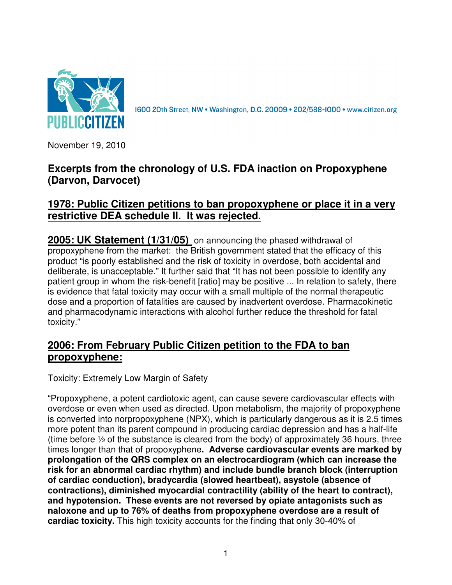

1600 20th Street, NW . Washington, D.C. 20009 . 202/588-1000 . www.citizen.org

November 19, 2010

## **Excerpts from the chronology of U.S. FDA inaction on Propoxyphene (Darvon, Darvocet)**

## **1978: Public Citizen petitions to ban propoxyphene or place it in a very restrictive DEA schedule II. It was rejected.**

**2005: UK Statement (1/31/05)** on announcing the phased withdrawal of propoxyphene from the market: the British government stated that the efficacy of this product "is poorly established and the risk of toxicity in overdose, both accidental and deliberate, is unacceptable." It further said that "It has not been possible to identify any patient group in whom the risk-benefit [ratio] may be positive ... In relation to safety, there is evidence that fatal toxicity may occur with a small multiple of the normal therapeutic dose and a proportion of fatalities are caused by inadvertent overdose. Pharmacokinetic and pharmacodynamic interactions with alcohol further reduce the threshold for fatal toxicity."

# **2006: From February Public Citizen petition to the FDA to ban propoxyphene:**

Toxicity: Extremely Low Margin of Safety

"Propoxyphene, a potent cardiotoxic agent, can cause severe cardiovascular effects with overdose or even when used as directed. Upon metabolism, the majority of propoxyphene is converted into norpropoxyphene (NPX), which is particularly dangerous as it is 2.5 times more potent than its parent compound in producing cardiac depression and has a half-life (time before ½ of the substance is cleared from the body) of approximately 36 hours, three times longer than that of propoxyphene**. Adverse cardiovascular events are marked by prolongation of the QRS complex on an electrocardiogram (which can increase the risk for an abnormal cardiac rhythm) and include bundle branch block (interruption of cardiac conduction), bradycardia (slowed heartbeat), asystole (absence of contractions), diminished myocardial contractility (ability of the heart to contract), and hypotension. These events are not reversed by opiate antagonists such as naloxone and up to 76% of deaths from propoxyphene overdose are a result of cardiac toxicity.** This high toxicity accounts for the finding that only 30-40% of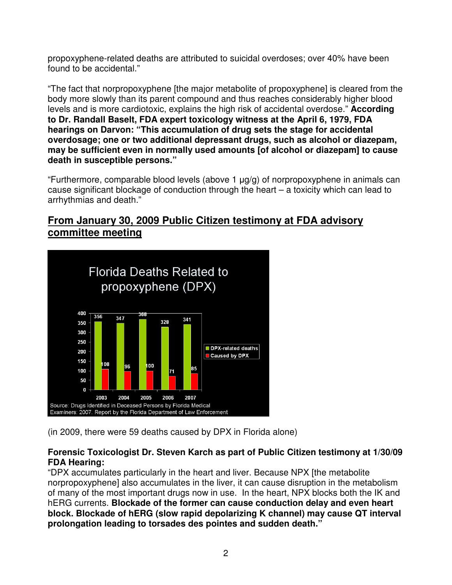propoxyphene-related deaths are attributed to suicidal overdoses; over 40% have been found to be accidental."

"The fact that norpropoxyphene [the major metabolite of propoxyphene] is cleared from the body more slowly than its parent compound and thus reaches considerably higher blood levels and is more cardiotoxic, explains the high risk of accidental overdose." **According to Dr. Randall Baselt, FDA expert toxicology witness at the April 6, 1979, FDA hearings on Darvon: "This accumulation of drug sets the stage for accidental overdosage; one or two additional depressant drugs, such as alcohol or diazepam, may be sufficient even in normally used amounts [of alcohol or diazepam] to cause death in susceptible persons."** 

"Furthermore, comparable blood levels (above 1  $\mu q/q$ ) of norpropoxyphene in animals can cause significant blockage of conduction through the heart – a toxicity which can lead to arrhythmias and death."

## **From January 30, 2009 Public Citizen testimony at FDA advisory committee meeting**



(in 2009, there were 59 deaths caused by DPX in Florida alone)

### **Forensic Toxicologist Dr. Steven Karch as part of Public Citizen testimony at 1/30/09 FDA Hearing:**

"DPX accumulates particularly in the heart and liver. Because NPX [the metabolite norpropoxyphene] also accumulates in the liver, it can cause disruption in the metabolism of many of the most important drugs now in use. In the heart, NPX blocks both the IK and hERG currents. **Blockade of the former can cause conduction delay and even heart block. Blockade of hERG (slow rapid depolarizing K channel) may cause QT interval prolongation leading to torsades des pointes and sudden death."**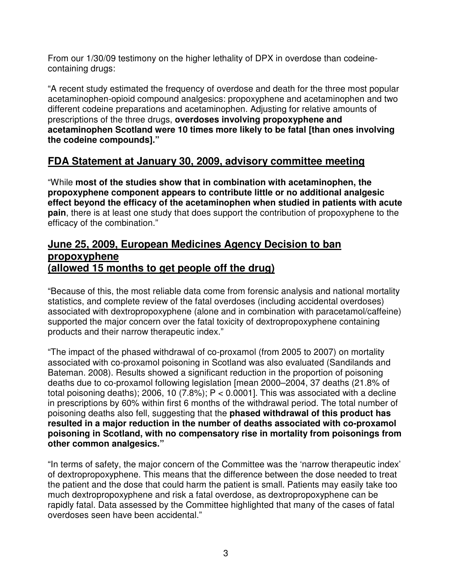From our 1/30/09 testimony on the higher lethality of DPX in overdose than codeinecontaining drugs:

"A recent study estimated the frequency of overdose and death for the three most popular acetaminophen-opioid compound analgesics: propoxyphene and acetaminophen and two different codeine preparations and acetaminophen. Adjusting for relative amounts of prescriptions of the three drugs, **overdoses involving propoxyphene and acetaminophen Scotland were 10 times more likely to be fatal [than ones involving the codeine compounds]."** 

# **FDA Statement at January 30, 2009, advisory committee meeting**

"While **most of the studies show that in combination with acetaminophen, the propoxyphene component appears to contribute little or no additional analgesic effect beyond the efficacy of the acetaminophen when studied in patients with acute pain**, there is at least one study that does support the contribution of propoxyphene to the efficacy of the combination."

### **June 25, 2009, European Medicines Agency Decision to ban propoxyphene (allowed 15 months to get people off the drug)**

"Because of this, the most reliable data come from forensic analysis and national mortality statistics, and complete review of the fatal overdoses (including accidental overdoses) associated with dextropropoxyphene (alone and in combination with paracetamol/caffeine) supported the major concern over the fatal toxicity of dextropropoxyphene containing products and their narrow therapeutic index."

"The impact of the phased withdrawal of co-proxamol (from 2005 to 2007) on mortality associated with co-proxamol poisoning in Scotland was also evaluated (Sandilands and Bateman. 2008). Results showed a significant reduction in the proportion of poisoning deaths due to co-proxamol following legislation [mean 2000–2004, 37 deaths (21.8% of total poisoning deaths); 2006, 10 (7.8%);  $P < 0.0001$ ]. This was associated with a decline in prescriptions by 60% within first 6 months of the withdrawal period. The total number of poisoning deaths also fell, suggesting that the **phased withdrawal of this product has resulted in a major reduction in the number of deaths associated with co-proxamol poisoning in Scotland, with no compensatory rise in mortality from poisonings from other common analgesics."** 

"In terms of safety, the major concern of the Committee was the 'narrow therapeutic index' of dextropropoxyphene. This means that the difference between the dose needed to treat the patient and the dose that could harm the patient is small. Patients may easily take too much dextropropoxyphene and risk a fatal overdose, as dextropropoxyphene can be rapidly fatal. Data assessed by the Committee highlighted that many of the cases of fatal overdoses seen have been accidental."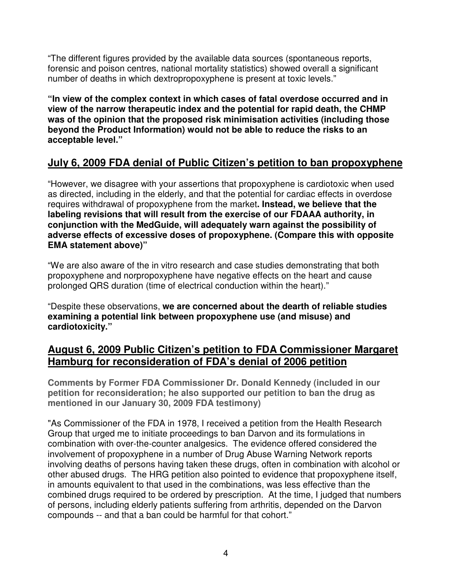"The different figures provided by the available data sources (spontaneous reports, forensic and poison centres, national mortality statistics) showed overall a significant number of deaths in which dextropropoxyphene is present at toxic levels."

**"In view of the complex context in which cases of fatal overdose occurred and in view of the narrow therapeutic index and the potential for rapid death, the CHMP was of the opinion that the proposed risk minimisation activities (including those beyond the Product Information) would not be able to reduce the risks to an acceptable level."** 

# **July 6, 2009 FDA denial of Public Citizen's petition to ban propoxyphene**

"However, we disagree with your assertions that propoxyphene is cardiotoxic when used as directed, including in the elderly, and that the potential for cardiac effects in overdose requires withdrawal of propoxyphene from the market**. Instead, we believe that the labeling revisions that will result from the exercise of our FDAAA authority, in conjunction with the MedGuide, will adequately warn against the possibility of adverse effects of excessive doses of propoxyphene. (Compare this with opposite EMA statement above)"** 

"We are also aware of the in vitro research and case studies demonstrating that both propoxyphene and norpropoxyphene have negative effects on the heart and cause prolonged QRS duration (time of electrical conduction within the heart)."

"Despite these observations, **we are concerned about the dearth of reliable studies examining a potential link between propoxyphene use (and misuse) and cardiotoxicity."**

## **August 6, 2009 Public Citizen's petition to FDA Commissioner Margaret Hamburg for reconsideration of FDA's denial of 2006 petition**

**Comments by Former FDA Commissioner Dr. Donald Kennedy (included in our petition for reconsideration; he also supported our petition to ban the drug as mentioned in our January 30, 2009 FDA testimony)** 

"As Commissioner of the FDA in 1978, I received a petition from the Health Research Group that urged me to initiate proceedings to ban Darvon and its formulations in combination with over-the-counter analgesics. The evidence offered considered the involvement of propoxyphene in a number of Drug Abuse Warning Network reports involving deaths of persons having taken these drugs, often in combination with alcohol or other abused drugs. The HRG petition also pointed to evidence that propoxyphene itself, in amounts equivalent to that used in the combinations, was less effective than the combined drugs required to be ordered by prescription. At the time, I judged that numbers of persons, including elderly patients suffering from arthritis, depended on the Darvon compounds -- and that a ban could be harmful for that cohort."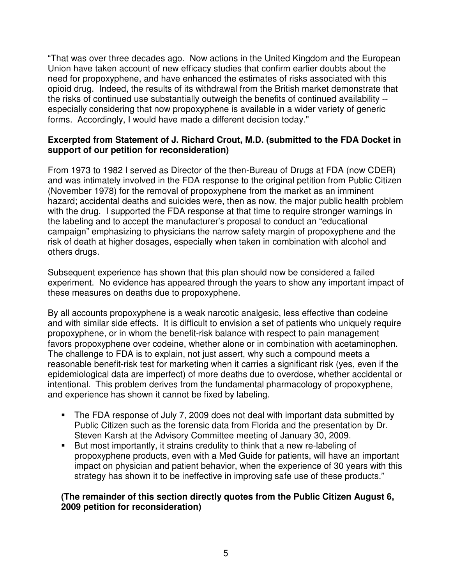"That was over three decades ago. Now actions in the United Kingdom and the European Union have taken account of new efficacy studies that confirm earlier doubts about the need for propoxyphene, and have enhanced the estimates of risks associated with this opioid drug. Indeed, the results of its withdrawal from the British market demonstrate that the risks of continued use substantially outweigh the benefits of continued availability - especially considering that now propoxyphene is available in a wider variety of generic forms. Accordingly, I would have made a different decision today."

### **Excerpted from Statement of J. Richard Crout, M.D. (submitted to the FDA Docket in support of our petition for reconsideration)**

From 1973 to 1982 I served as Director of the then-Bureau of Drugs at FDA (now CDER) and was intimately involved in the FDA response to the original petition from Public Citizen (November 1978) for the removal of propoxyphene from the market as an imminent hazard; accidental deaths and suicides were, then as now, the major public health problem with the drug. I supported the FDA response at that time to require stronger warnings in the labeling and to accept the manufacturer's proposal to conduct an "educational campaign" emphasizing to physicians the narrow safety margin of propoxyphene and the risk of death at higher dosages, especially when taken in combination with alcohol and others drugs.

Subsequent experience has shown that this plan should now be considered a failed experiment. No evidence has appeared through the years to show any important impact of these measures on deaths due to propoxyphene.

By all accounts propoxyphene is a weak narcotic analgesic, less effective than codeine and with similar side effects. It is difficult to envision a set of patients who uniquely require propoxyphene, or in whom the benefit-risk balance with respect to pain management favors propoxyphene over codeine, whether alone or in combination with acetaminophen. The challenge to FDA is to explain, not just assert, why such a compound meets a reasonable benefit-risk test for marketing when it carries a significant risk (yes, even if the epidemiological data are imperfect) of more deaths due to overdose, whether accidental or intentional. This problem derives from the fundamental pharmacology of propoxyphene, and experience has shown it cannot be fixed by labeling.

- The FDA response of July 7, 2009 does not deal with important data submitted by Public Citizen such as the forensic data from Florida and the presentation by Dr. Steven Karsh at the Advisory Committee meeting of January 30, 2009.
- But most importantly, it strains credulity to think that a new re-labeling of propoxyphene products, even with a Med Guide for patients, will have an important impact on physician and patient behavior, when the experience of 30 years with this strategy has shown it to be ineffective in improving safe use of these products."

### **(The remainder of this section directly quotes from the Public Citizen August 6, 2009 petition for reconsideration)**